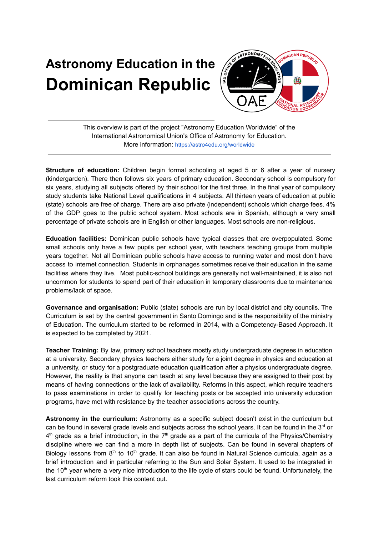## **Astronomy Education in the Dominican Republic**



This overview is part of the project "Astronomy Education Worldwide" of the International Astronomical Union's Office of Astronomy for Education. More information: <https://astro4edu.org/worldwide>

**Structure of education:** Children begin formal schooling at aged 5 or 6 after a year of nursery (kindergarden). There then follows six years of primary education. Secondary school is compulsory for six years, studying all subjects offered by their school for the first three. In the final year of compulsory study students take National Level qualifications in 4 subjects. All thirteen years of education at public (state) schools are free of charge. There are also private (independent) schools which charge fees. 4% of the GDP goes to the public school system. Most schools are in Spanish, although a very small percentage of private schools are in English or other languages. Most schools are non-religious.

**Education facilities:** Dominican public schools have typical classes that are overpopulated. Some small schools only have a few pupils per school year, with teachers teaching groups from multiple years together. Not all Dominican public schools have access to running water and most don't have access to internet connection. Students in orphanages sometimes receive their education in the same facilities where they live. Most public-school buildings are generally not well-maintained, it is also not uncommon for students to spend part of their education in temporary classrooms due to maintenance problems/lack of space.

**Governance and organisation:** Public (state) schools are run by local district and city councils. The Curriculum is set by the central government in Santo Domingo and is the responsibility of the ministry of Education. The curriculum started to be reformed in 2014, with a Competency-Based Approach. It is expected to be completed by 2021.

**Teacher Training:** By law, primary school teachers mostly study undergraduate degrees in education at a university. Secondary physics teachers either study for a joint degree in physics and education at a university, or study for a postgraduate education qualification after a physics undergraduate degree. However, the reality is that anyone can teach at any level because they are assigned to their post by means of having connections or the lack of availability. Reforms in this aspect, which require teachers to pass examinations in order to qualify for teaching posts or be accepted into university education programs, have met with resistance by the teacher associations across the country.

**Astronomy in the curriculum:** Astronomy as a specific subject doesn't exist in the curriculum but can be found in several grade levels and subjects across the school years. It can be found in the 3<sup>rd</sup> or  $4<sup>th</sup>$  grade as a brief introduction, in the  $7<sup>th</sup>$  grade as a part of the curricula of the Physics/Chemistry discipline where we can find a more in depth list of subjects. Can be found in several chapters of Biology lessons from 8<sup>th</sup> to 10<sup>th</sup> grade. It can also be found in Natural Science curricula, again as a brief introduction and in particular referring to the Sun and Solar System. It used to be integrated in the 10<sup>th</sup> year where a very nice introduction to the life cycle of stars could be found. Unfortunately, the last curriculum reform took this content out.